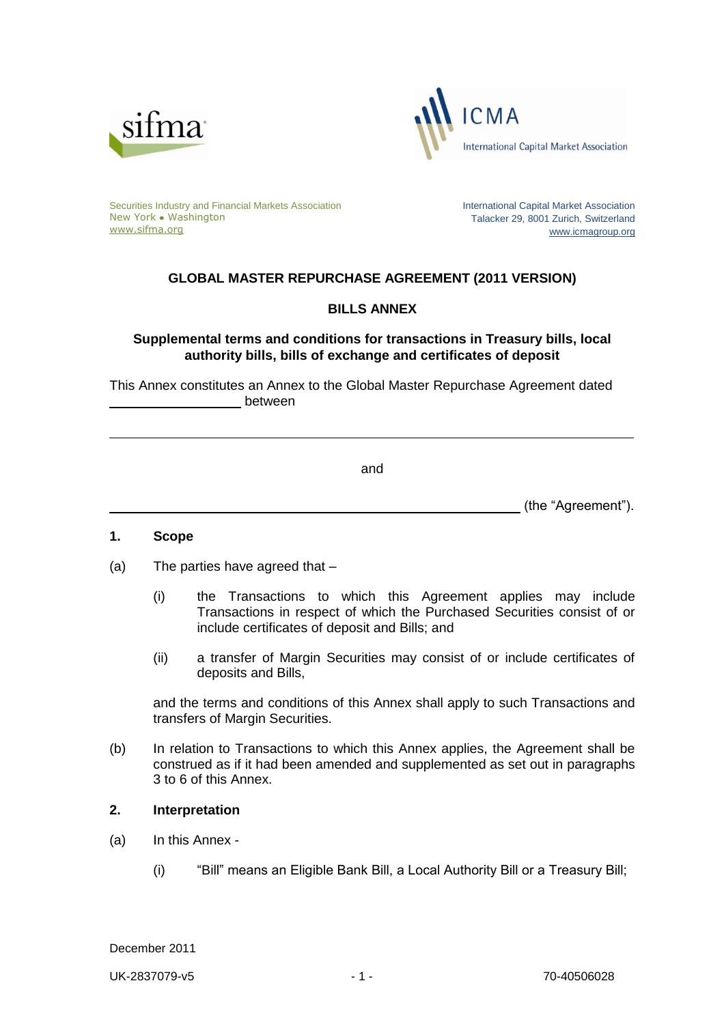



Securities Industry and Financial Markets Association New York • Washington [www.sifma.org](http://www.sifma.org/)

International Capital Market Association Talacker 29, 8001 Zurich, Switzerland [www.icmagroup.org](http://www.icmagroup.org/)

# **GLOBAL MASTER REPURCHASE AGREEMENT (2011 VERSION)**

## **BILLS ANNEX**

**Supplemental terms and conditions for transactions in Treasury bills, local authority bills, bills of exchange and certificates of deposit** 

This Annex constitutes an Annex to the Global Master Repurchase Agreement dated between

and

**Example 20** (the "Agreement").

### **1. Scope**

- (a) The parties have agreed that
	- (i) the Transactions to which this Agreement applies may include Transactions in respect of which the Purchased Securities consist of or include certificates of deposit and Bills; and
	- (ii) a transfer of Margin Securities may consist of or include certificates of deposits and Bills,

and the terms and conditions of this Annex shall apply to such Transactions and transfers of Margin Securities.

(b) In relation to Transactions to which this Annex applies, the Agreement shall be construed as if it had been amended and supplemented as set out in paragraphs 3 to 6 of this Annex.

#### **2. Interpretation**

- (a) In this Annex
	- (i) "Bill" means an Eligible Bank Bill, a Local Authority Bill or a Treasury Bill;